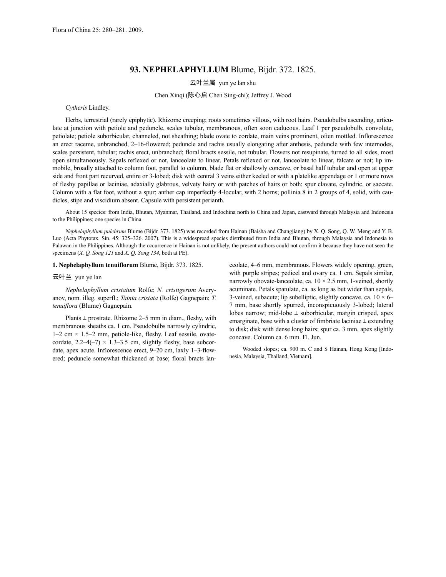# **93. NEPHELAPHYLLUM** Blume, Bijdr. 372. 1825.

## 云叶兰属 yun ye lan shu

## Chen Xinqi (陈心启 Chen Sing-chi); Jeffrey J. Wood

### *Cytheris* Lindley.

Herbs, terrestrial (rarely epiphytic). Rhizome creeping; roots sometimes villous, with root hairs. Pseudobulbs ascending, articulate at junction with petiole and peduncle, scales tubular, membranous, often soon caducous. Leaf 1 per pseudobulb, convolute, petiolate; petiole suborbicular, channeled, not sheathing; blade ovate to cordate, main veins prominent, often mottled. Inflorescence an erect raceme, unbranched, 2–16-flowered; peduncle and rachis usually elongating after anthesis, peduncle with few internodes, scales persistent, tubular; rachis erect, unbranched; floral bracts sessile, not tubular. Flowers not resupinate, turned to all sides, most open simultaneously. Sepals reflexed or not, lanceolate to linear. Petals reflexed or not, lanceolate to linear, falcate or not; lip immobile, broadly attached to column foot, parallel to column, blade flat or shallowly concave, or basal half tubular and open at upper side and front part recurved, entire or 3-lobed; disk with central 3 veins either keeled or with a platelike appendage or 1 or more rows of fleshy papillae or laciniae, adaxially glabrous, velvety hairy or with patches of hairs or both; spur clavate, cylindric, or saccate. Column with a flat foot, without a spur; anther cap imperfectly 4-locular, with 2 horns; pollinia 8 in 2 groups of 4, solid, with caudicles, stipe and viscidium absent. Capsule with persistent perianth.

About 15 species: from India, Bhutan, Myanmar, Thailand, and Indochina north to China and Japan, eastward through Malaysia and Indonesia to the Philippines; one species in China.

*Nephelaphyllum pulchrum* Blume (Bijdr. 373. 1825) was recorded from Hainan (Baisha and Changjiang) by X. Q. Song, Q. W. Meng and Y. B. Luo (Acta Phytotax. Sin. 45: 325–326. 2007). This is a widespread species distributed from India and Bhutan, through Malaysia and Indonesia to Palawan in the Philippines. Although the occurrence in Hainan is not unlikely, the present authors could not confirm it because they have not seen the specimens (*X. Q. Song 121* and *X. Q. Song 134*, both at PE).

#### **1. Nephelaphyllum tenuiflorum** Blume, Bijdr. 373. 1825.

### 云叶兰 yun ye lan

*Nephelaphyllum cristatum* Rolfe; *N. cristigerum* Averyanov, nom. illeg. superfl.; *Tainia cristata* (Rolfe) Gagnepain; *T. tenuiflora* (Blume) Gagnepain.

Plants  $\pm$  prostrate. Rhizome 2–5 mm in diam., fleshy, with membranous sheaths ca. 1 cm. Pseudobulbs narrowly cylindric,  $1-2$  cm  $\times$  1.5–2 mm, petiole-like, fleshy. Leaf sessile, ovatecordate,  $2.2-4(-7) \times 1.3-3.5$  cm, slightly fleshy, base subcordate, apex acute. Inflorescence erect, 9–20 cm, laxly 1–3-flowered; peduncle somewhat thickened at base; floral bracts lanceolate, 4–6 mm, membranous. Flowers widely opening, green, with purple stripes; pedicel and ovary ca. 1 cm. Sepals similar, narrowly obovate-lanceolate, ca.  $10 \times 2.5$  mm, 1-veined, shortly acuminate. Petals spatulate, ca. as long as but wider than sepals, 3-veined, subacute; lip subelliptic, slightly concave, ca.  $10 \times 6-$ 7 mm, base shortly spurred, inconspicuously 3-lobed; lateral lobes narrow; mid-lobe  $\pm$  suborbicular, margin crisped, apex emarginate, base with a cluster of fimbriate laciniae  $\pm$  extending to disk; disk with dense long hairs; spur ca. 3 mm, apex slightly concave. Column ca. 6 mm. Fl. Jun.

Wooded slopes; ca. 900 m. C and S Hainan, Hong Kong [Indonesia, Malaysia, Thailand, Vietnam].